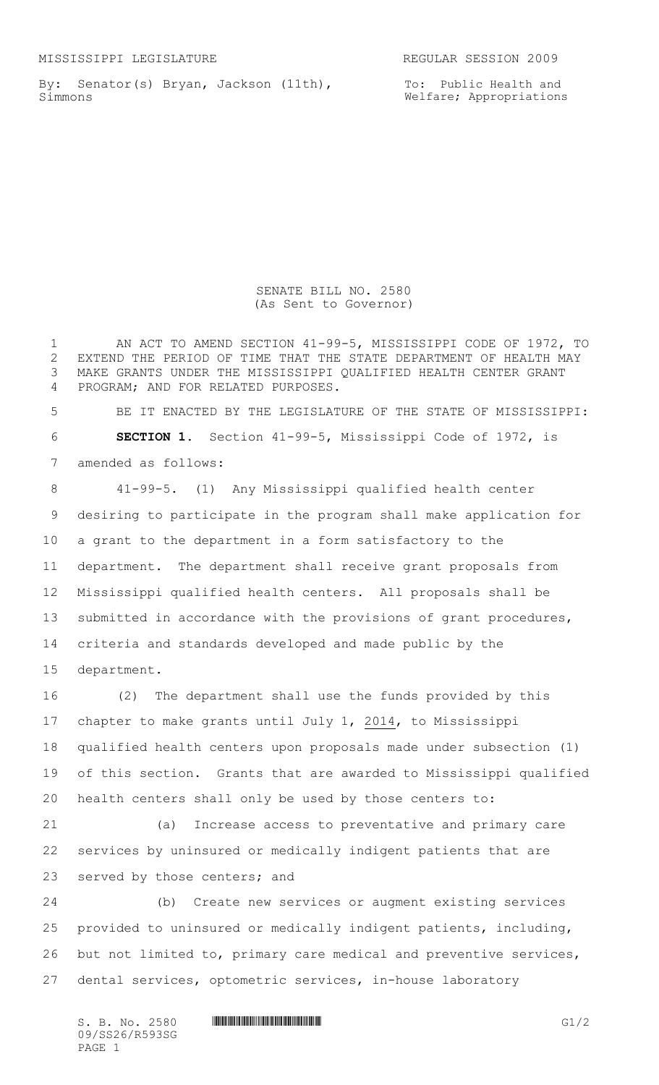MISSISSIPPI LEGISLATURE REGULAR SESSION 2009

By: Senator(s) Bryan, Jackson (11th), Simmons

SENATE BILL NO. 2580 (As Sent to Governor)

 AN ACT TO AMEND SECTION 41-99-5, MISSISSIPPI CODE OF 1972, TO EXTEND THE PERIOD OF TIME THAT THE STATE DEPARTMENT OF HEALTH MAY MAKE GRANTS UNDER THE MISSISSIPPI QUALIFIED HEALTH CENTER GRANT PROGRAM; AND FOR RELATED PURPOSES.

 BE IT ENACTED BY THE LEGISLATURE OF THE STATE OF MISSISSIPPI: **SECTION 1.** Section 41-99-5, Mississippi Code of 1972, is amended as follows:

 41-99-5. (1) Any Mississippi qualified health center desiring to participate in the program shall make application for a grant to the department in a form satisfactory to the department. The department shall receive grant proposals from Mississippi qualified health centers. All proposals shall be submitted in accordance with the provisions of grant procedures, criteria and standards developed and made public by the department.

 (2) The department shall use the funds provided by this chapter to make grants until July 1, 2014, to Mississippi qualified health centers upon proposals made under subsection (1) of this section. Grants that are awarded to Mississippi qualified health centers shall only be used by those centers to:

 (a) Increase access to preventative and primary care services by uninsured or medically indigent patients that are served by those centers; and

 (b) Create new services or augment existing services provided to uninsured or medically indigent patients, including, but not limited to, primary care medical and preventive services, dental services, optometric services, in-house laboratory

09/SS26/R593SG PAGE 1

 $S. B. No. 2580$  ...  $\blacksquare$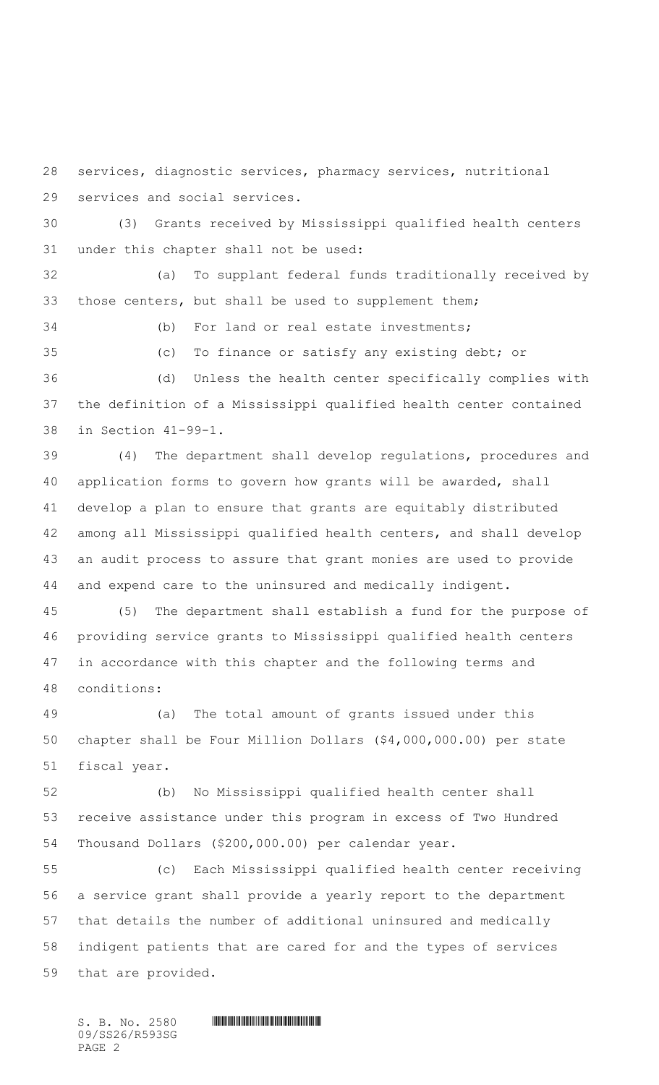services, diagnostic services, pharmacy services, nutritional

services and social services.

 (3) Grants received by Mississippi qualified health centers under this chapter shall not be used:

 (a) To supplant federal funds traditionally received by those centers, but shall be used to supplement them;

(b) For land or real estate investments;

 (c) To finance or satisfy any existing debt; or (d) Unless the health center specifically complies with

 the definition of a Mississippi qualified health center contained in Section 41-99-1.

 (4) The department shall develop regulations, procedures and application forms to govern how grants will be awarded, shall develop a plan to ensure that grants are equitably distributed among all Mississippi qualified health centers, and shall develop an audit process to assure that grant monies are used to provide and expend care to the uninsured and medically indigent.

 (5) The department shall establish a fund for the purpose of providing service grants to Mississippi qualified health centers in accordance with this chapter and the following terms and conditions:

 (a) The total amount of grants issued under this chapter shall be Four Million Dollars (\$4,000,000.00) per state fiscal year.

 (b) No Mississippi qualified health center shall receive assistance under this program in excess of Two Hundred Thousand Dollars (\$200,000.00) per calendar year.

 (c) Each Mississippi qualified health center receiving a service grant shall provide a yearly report to the department that details the number of additional uninsured and medically indigent patients that are cared for and the types of services that are provided.

 $S.$  B. No. 2580 **INSTERNATION CONSUMING THE SET OF SCRIPT OF SET OF SET OF SET OF SET OF SET OF SET OF SET OF SET OF SET OF SET OF SET OF SET OF SET OF SET OF SET OF SET OF SET OF SET OF SET OF SET OF SET OF SET OF SET O** 09/SS26/R593SG PAGE 2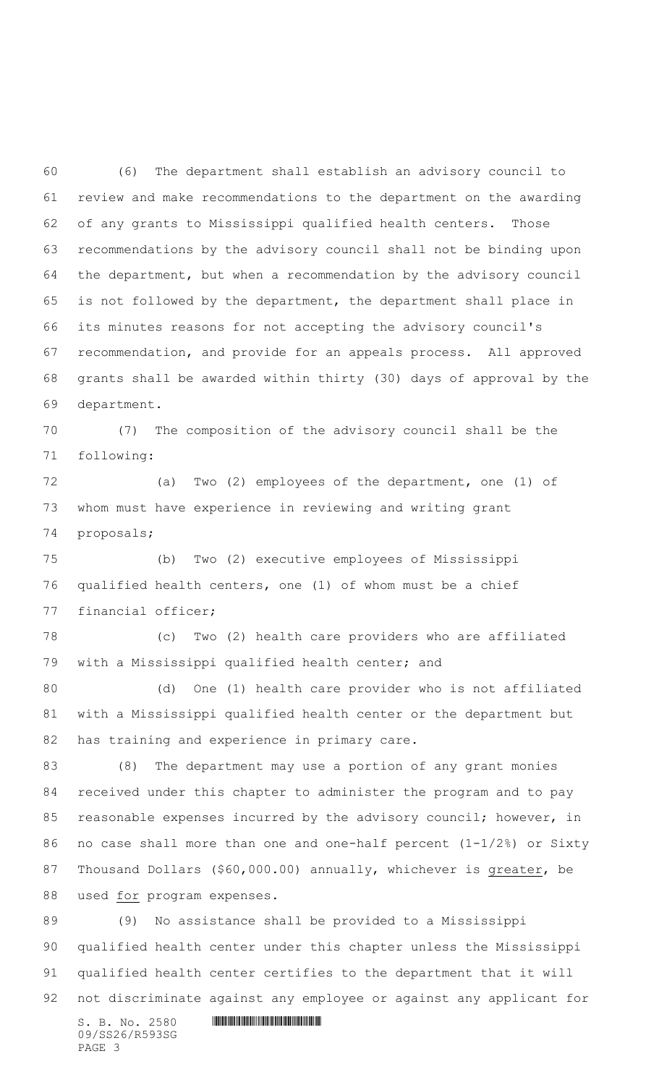(6) The department shall establish an advisory council to review and make recommendations to the department on the awarding of any grants to Mississippi qualified health centers. Those recommendations by the advisory council shall not be binding upon the department, but when a recommendation by the advisory council is not followed by the department, the department shall place in its minutes reasons for not accepting the advisory council's recommendation, and provide for an appeals process. All approved grants shall be awarded within thirty (30) days of approval by the department.

 (7) The composition of the advisory council shall be the following:

 (a) Two (2) employees of the department, one (1) of whom must have experience in reviewing and writing grant proposals;

 (b) Two (2) executive employees of Mississippi qualified health centers, one (1) of whom must be a chief financial officer;

 (c) Two (2) health care providers who are affiliated with a Mississippi qualified health center; and

 (d) One (1) health care provider who is not affiliated with a Mississippi qualified health center or the department but has training and experience in primary care.

 (8) The department may use a portion of any grant monies received under this chapter to administer the program and to pay reasonable expenses incurred by the advisory council; however, in no case shall more than one and one-half percent (1-1/2%) or Sixty Thousand Dollars (\$60,000.00) annually, whichever is greater, be used for program expenses.

 $S. B. No. 2580$  .  $M. 2580$  (9) No assistance shall be provided to a Mississippi qualified health center under this chapter unless the Mississippi qualified health center certifies to the department that it will not discriminate against any employee or against any applicant for

09/SS26/R593SG PAGE 3